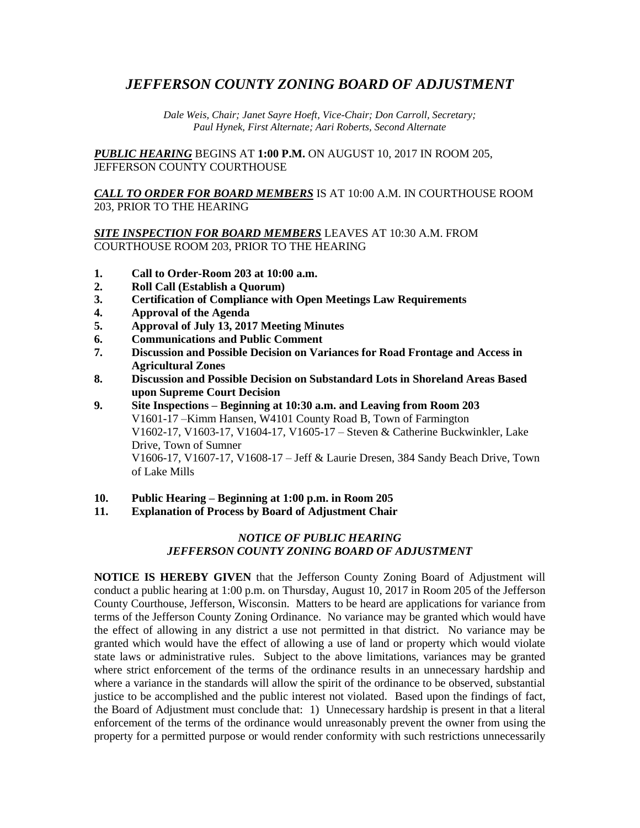## *JEFFERSON COUNTY ZONING BOARD OF ADJUSTMENT*

*Dale Weis, Chair; Janet Sayre Hoeft, Vice-Chair; Don Carroll, Secretary; Paul Hynek, First Alternate; Aari Roberts, Second Alternate*

*PUBLIC HEARING* BEGINS AT **1:00 P.M.** ON AUGUST 10, 2017 IN ROOM 205, JEFFERSON COUNTY COURTHOUSE

*CALL TO ORDER FOR BOARD MEMBERS* IS AT 10:00 A.M. IN COURTHOUSE ROOM 203, PRIOR TO THE HEARING

*SITE INSPECTION FOR BOARD MEMBERS* LEAVES AT 10:30 A.M. FROM COURTHOUSE ROOM 203, PRIOR TO THE HEARING

- **1. Call to Order-Room 203 at 10:00 a.m.**
- **2. Roll Call (Establish a Quorum)**
- **3. Certification of Compliance with Open Meetings Law Requirements**
- **4. Approval of the Agenda**
- **5. Approval of July 13, 2017 Meeting Minutes**
- **6. Communications and Public Comment**
- **7. Discussion and Possible Decision on Variances for Road Frontage and Access in Agricultural Zones**
- **8. Discussion and Possible Decision on Substandard Lots in Shoreland Areas Based upon Supreme Court Decision**
- **9. Site Inspections – Beginning at 10:30 a.m. and Leaving from Room 203** V1601-17 –Kimm Hansen, W4101 County Road B, Town of Farmington V1602-17, V1603-17, V1604-17, V1605-17 – Steven & Catherine Buckwinkler, Lake Drive, Town of Sumner V1606-17, V1607-17, V1608-17 – Jeff & Laurie Dresen, 384 Sandy Beach Drive, Town of Lake Mills
- **10. Public Hearing – Beginning at 1:00 p.m. in Room 205**
- **11. Explanation of Process by Board of Adjustment Chair**

## *NOTICE OF PUBLIC HEARING JEFFERSON COUNTY ZONING BOARD OF ADJUSTMENT*

**NOTICE IS HEREBY GIVEN** that the Jefferson County Zoning Board of Adjustment will conduct a public hearing at 1:00 p.m. on Thursday, August 10, 2017 in Room 205 of the Jefferson County Courthouse, Jefferson, Wisconsin. Matters to be heard are applications for variance from terms of the Jefferson County Zoning Ordinance. No variance may be granted which would have the effect of allowing in any district a use not permitted in that district. No variance may be granted which would have the effect of allowing a use of land or property which would violate state laws or administrative rules. Subject to the above limitations, variances may be granted where strict enforcement of the terms of the ordinance results in an unnecessary hardship and where a variance in the standards will allow the spirit of the ordinance to be observed, substantial justice to be accomplished and the public interest not violated. Based upon the findings of fact, the Board of Adjustment must conclude that: 1) Unnecessary hardship is present in that a literal enforcement of the terms of the ordinance would unreasonably prevent the owner from using the property for a permitted purpose or would render conformity with such restrictions unnecessarily